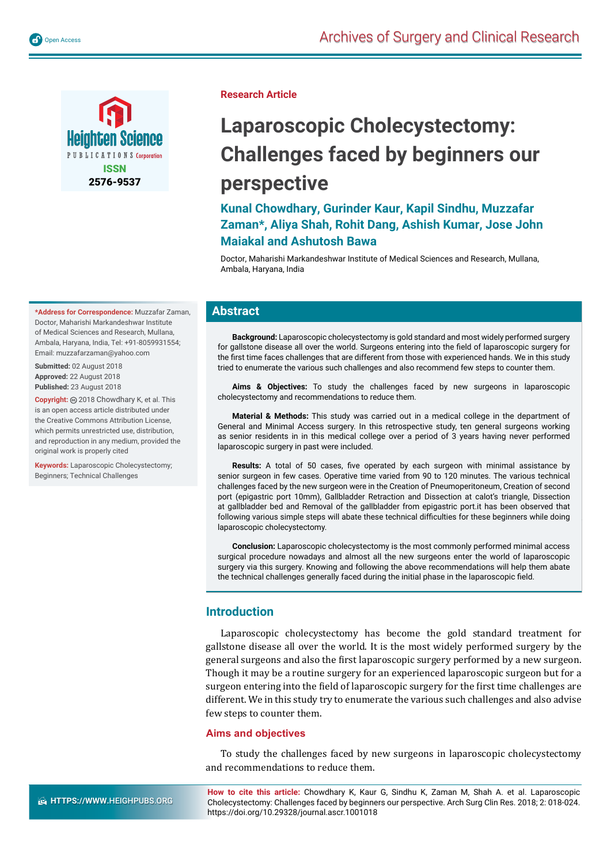



**\*Address for Correspondence:** Muzzafar Zaman, Doctor, Maharishi Markandeshwar Institute of Medical Sciences and Research, Mullana, Ambala, Haryana, India, Tel: +91-8059931554; Email: muzzafarzaman@yahoo.com

**Submitted:** 02 August 2018 **Approved:** 22 August 2018 **Published:** 23 August 2018

Copyright: @ 2018 Chowdhary K, et al. This is an open access article distributed under the Creative Commons Attribution License, which permits unrestricted use, distribution, and reproduction in any medium, provided the original work is properly cited

**Keywords:** Laparoscopic Cholecystectomy; Beginners; Technical Challenges

**Research Article**

# **Laparoscopic Cholecystectomy: Challenges faced by beginners our perspective**

**Kunal Chowdhary, Gurinder Kaur, Kapil Sindhu, Muzzafar Zaman\*, Aliya Shah, Rohit Dang, Ashish Kumar, Jose John Maiakal and Ashutosh Bawa**

Doctor, Maharishi Markandeshwar Institute of Medical Sciences and Research, Mullana, Ambala, Haryana, India

## **Abstract**

**Background:** Laparoscopic cholecystectomy is gold standard and most widely performed surgery for gallstone disease all over the world. Surgeons entering into the field of laparoscopic surgery for the first time faces challenges that are different from those with experienced hands. We in this study tried to enumerate the various such challenges and also recommend few steps to counter them.

**Aims & Objectives:** To study the challenges faced by new surgeons in laparoscopic cholecystectomy and recommendations to reduce them.

**Material & Methods:** This study was carried out in a medical college in the department of General and Minimal Access surgery. In this retrospective study, ten general surgeons working as senior residents in in this medical college over a period of 3 years having never performed laparoscopic surgery in past were included.

Results: A total of 50 cases, five operated by each surgeon with minimal assistance by senior surgeon in few cases. Operative time varied from 90 to 120 minutes. The various technical challenges faced by the new surgeon were in the Creation of Pneumoperitoneum, Creation of second port (epigastric port 10mm), Gallbladder Retraction and Dissection at calot's triangle, Dissection at gallbladder bed and Removal of the gallbladder from epigastric port.it has been observed that following various simple steps will abate these technical difficulties for these beginners while doing laparoscopic cholecystectomy.

**Conclusion:** Laparoscopic cholecystectomy is the most commonly performed minimal access surgical procedure nowadays and almost all the new surgeons enter the world of laparoscopic surgery via this surgery. Knowing and following the above recommendations will help them abate the technical challenges generally faced during the initial phase in the laparoscopic field.

# **Introduction**

Laparoscopic cholecystectomy has become the gold standard treatment for gallstone disease all over the world. It is the most widely performed surgery by the general surgeons and also the first laparoscopic surgery performed by a new surgeon. Though it may be a routine surgery for an experienced laparoscopic surgeon but for a surgeon entering into the field of laparoscopic surgery for the first time challenges are different. We in this study try to enumerate the various such challenges and also advise few steps to counter them.

## **Aims and objectives**

To study the challenges faced by new surgeons in laparoscopic cholecystectomy and recommendations to reduce them.

**How to cite this article:** Chowdhary K, Kaur G, Sindhu K, Zaman M, Shah A. et al. Laparoscopic Cholecystectomy: Challenges faced by beginners our perspective. Arch Surg Clin Res. 2018; 2: 018-024. https://doi.org/10.29328/journal.ascr.1001018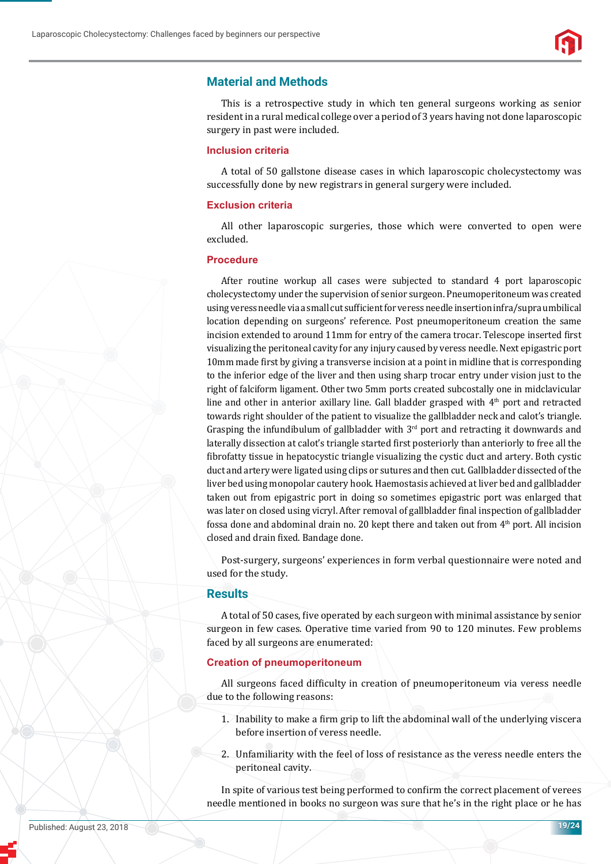

## **Material and Methods**

This is a retrospective study in which ten general surgeons working as senior resident in a rural medical college over a period of 3 years having not done laparoscopic surgery in past were included.

#### **Inclusion criteria**

A total of 50 gallstone disease cases in which laparoscopic cholecystectomy was successfully done by new registrars in general surgery were included.

#### **Exclusion criteria**

All other laparoscopic surgeries, those which were converted to open were excluded.

#### **Procedure**

After routine workup all cases were subjected to standard 4 port laparoscopic cholecystectomy under the supervision of senior surgeon. Pneumoperitoneum was created using veress needle via a small cut sufficient for veress needle insertion infra/supra umbilical location depending on surgeons' reference. Post pneumoperitoneum creation the same incision extended to around 11mm for entry of the camera trocar. Telescope inserted first visualizing the peritoneal cavity for any injury caused by veress needle. Next epigastric port 10mm made first by giving a transverse incision at a point in midline that is corresponding to the inferior edge of the liver and then using sharp trocar entry under vision just to the right of falciform ligament. Other two 5mm ports created subcostally one in midclavicular line and other in anterior axillary line. Gall bladder grasped with  $4<sup>th</sup>$  port and retracted towards right shoulder of the patient to visualize the gallbladder neck and calot's triangle. Grasping the infundibulum of gallbladder with  $3<sup>rd</sup>$  port and retracting it downwards and laterally dissection at calot's triangle started first posteriorly than anteriorly to free all the fibrofatty tissue in hepatocystic triangle visualizing the cystic duct and artery. Both cystic duct and artery were ligated using clips or sutures and then cut. Gallbladder dissected of the liver bed using monopolar cautery hook. Haemostasis achieved at liver bed and gallbladder taken out from epigastric port in doing so sometimes epigastric port was enlarged that was later on closed using vicryl. After removal of gallbladder final inspection of gallbladder fossa done and abdominal drain no. 20 kept there and taken out from  $4<sup>th</sup>$  port. All incision closed and drain fixed. Bandage done.

Post-surgery, surgeons' experiences in form verbal questionnaire were noted and used for the study.

#### **Results**

A total of 50 cases, five operated by each surgeon with minimal assistance by senior surgeon in few cases. Operative time varied from 90 to 120 minutes. Few problems faced by all surgeons are enumerated:

#### **Creation of pneumoperitoneum**

All surgeons faced difficulty in creation of pneumoperitoneum via veress needle due to the following reasons:

- 1. Inability to make a firm grip to lift the abdominal wall of the underlying viscera before insertion of veress needle.
- 2. Unfamiliarity with the feel of loss of resistance as the veress needle enters the peritoneal cavity.

In spite of various test being performed to confirm the correct placement of verees needle mentioned in books no surgeon was sure that he's in the right place or he has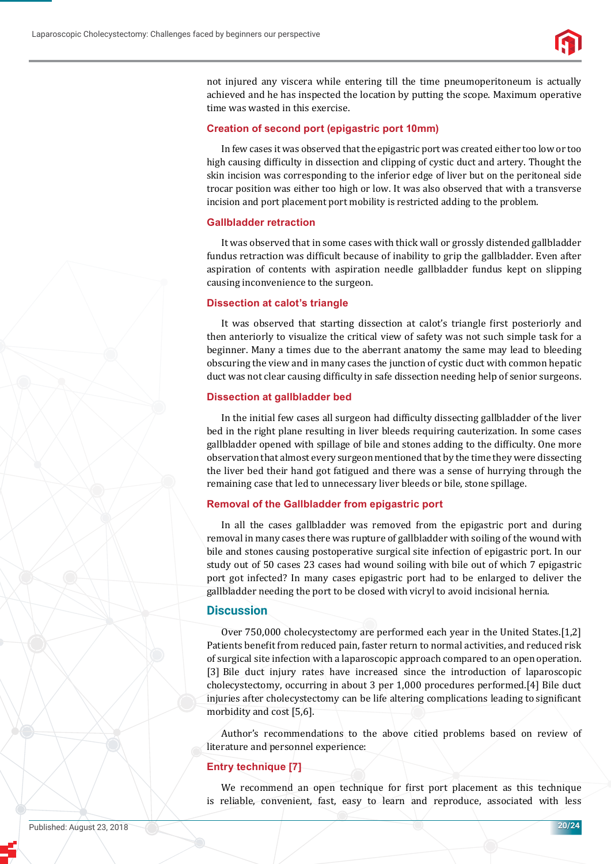

not injured any viscera while entering till the time pneumoperitoneum is actually achieved and he has inspected the location by putting the scope. Maximum operative time was wasted in this exercise.

#### **Creation of second port (epigastric port 10mm)**

In few cases it was observed that the epigastric port was created either too low or too high causing difficulty in dissection and clipping of cystic duct and artery. Thought the skin incision was corresponding to the inferior edge of liver but on the peritoneal side trocar position was either too high or low. It was also observed that with a transverse incision and port placement port mobility is restricted adding to the problem.

#### **Gallbladder retraction**

It was observed that in some cases with thick wall or grossly distended gallbladder fundus retraction was difficult because of inability to grip the gallbladder. Even after aspiration of contents with aspiration needle gallbladder fundus kept on slipping causing inconvenience to the surgeon.

#### **Dissection at calot's triangle**

It was observed that starting dissection at calot's triangle first posteriorly and then anteriorly to visualize the critical view of safety was not such simple task for a beginner. Many a times due to the aberrant anatomy the same may lead to bleeding obscuring the view and in many cases the junction of cystic duct with common hepatic duct was not clear causing difficulty in safe dissection needing help of senior surgeons.

#### **Dissection at gallbladder bed**

In the initial few cases all surgeon had difficulty dissecting gallbladder of the liver bed in the right plane resulting in liver bleeds requiring cauterization. In some cases gallbladder opened with spillage of bile and stones adding to the difficulty. One more observation that almost every surgeon mentioned that by the time they were dissecting the liver bed their hand got fatigued and there was a sense of hurrying through the remaining case that led to unnecessary liver bleeds or bile, stone spillage.

## **Removal of the Gallbladder from epigastric port**

In all the cases gallbladder was removed from the epigastric port and during removal in many cases there was rupture of gallbladder with soiling of the wound with bile and stones causing postoperative surgical site infection of epigastric port. In our study out of 50 cases 23 cases had wound soiling with bile out of which 7 epigastric port got infected? In many cases epigastric port had to be enlarged to deliver the gallbladder needing the port to be closed with vicryl to avoid incisional hernia.

## **Discussion**

Over 750,000 cholecystectomy are performed each year in the United States.[1,2] Patients benefit from reduced pain, faster return to normal activities, and reduced risk of surgical site infection with a laparoscopic approach compared to an openoperation. [3] Bile duct injury rates have increased since the introduction of laparoscopic cholecystectomy, occurring in about 3 per 1,000 procedures performed.[4] Bile duct injuries after cholecystectomy can be life altering complications leading to significant morbidity and cost [5,6].

Author's recommendations to the above citied problems based on review of literature and personnel experience:

## **Entry technique [7]**

We recommend an open technique for first port placement as this technique is reliable, convenient, fast, easy to learn and reproduce, associated with less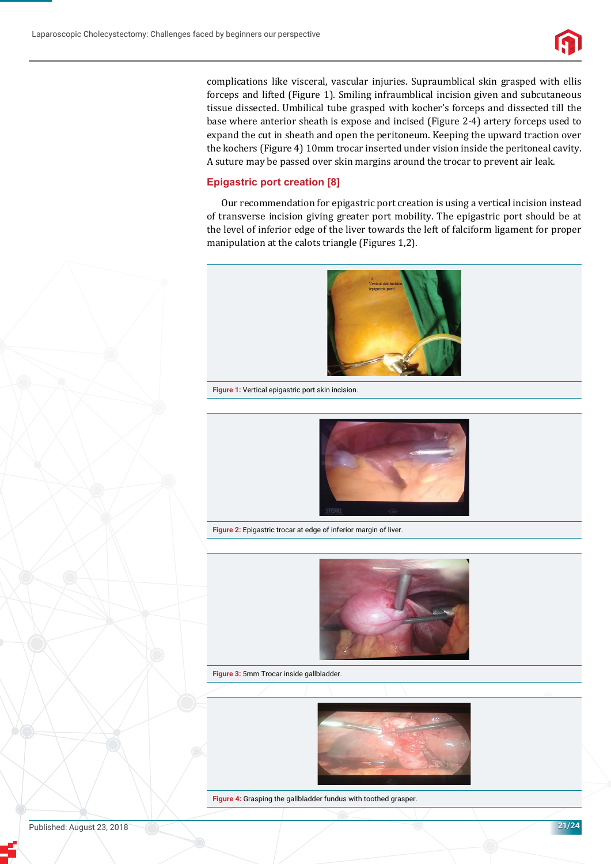

complications like visceral, vascular injuries. Supraumblical skin grasped with ellis forceps and lifted (Figure 1). Smiling infraumblical incision given and subcutaneous tissue dissected. Umbilical tube grasped with kocher's forceps and dissected till the base where anterior sheath is expose and incised (Figure 2-4) artery forceps used to expand the cut in sheath and open the peritoneum. Keeping the upward traction over the kochers (Figure 4) 10mm trocar inserted under vision inside the peritoneal cavity. A suture may be passed over skin margins around the trocar to prevent air leak.

## **Epigastric port creation [8]**

Our recommendation for epigastric port creation is using a vertical incision instead of transverse incision giving greater port mobility. The epigastric port should be at the level of inferior edge of the liver towards the left of falciform ligament for proper manipulation at the calots triangle (Figures 1,2).



**Figure 1:** Vertical epigastric port skin incision.



**Figure 2:** Epigastric trocar at edge of inferior margin of liver.



**Figure 3:** 5mm Trocar inside gallbladder.



**Figure 4:** Grasping the gallbladder fundus with toothed grasper.

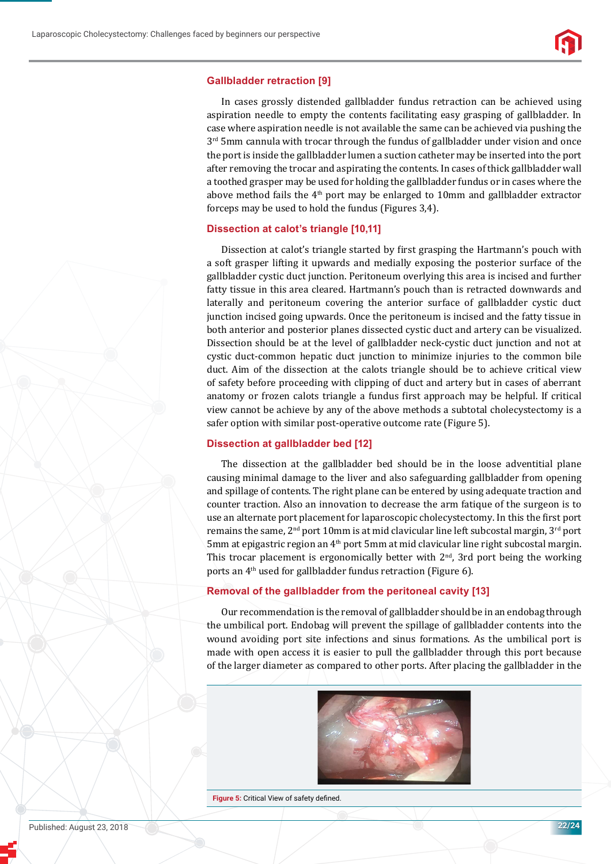#### **Gallbladder retraction [9]**

In cases grossly distended gallbladder fundus retraction can be achieved using aspiration needle to empty the contents facilitating easy grasping of gallbladder. In case where aspiration needle is not available the same can be achieved via pushing the 3<sup>rd</sup> 5mm cannula with trocar through the fundus of gallbladder under vision and once the port is inside the gallbladder lumen a suction catheter may be inserted into the port after removing the trocar and aspirating the contents. In cases of thick gallbladder wall a toothed grasper may be used for holding the gallbladder fundus or in cases where the above method fails the 4<sup>th</sup> port may be enlarged to 10mm and gallbladder extractor forceps may be used to hold the fundus (Figures 3,4).

#### **Dissection at calot's triangle [10,11]**

Dissection at calot's triangle started by first grasping the Hartmann's pouch with a soft grasper lifting it upwards and medially exposing the posterior surface of the gallbladder cystic duct junction. Peritoneum overlying this area is incised and further fatty tissue in this area cleared. Hartmann's pouch than is retracted downwards and laterally and peritoneum covering the anterior surface of gallbladder cystic duct junction incised going upwards. Once the peritoneum is incised and the fatty tissue in both anterior and posterior planes dissected cystic duct and artery can be visualized. Dissection should be at the level of gallbladder neck-cystic duct junction and not at cystic duct-common hepatic duct junction to minimize injuries to the common bile duct. Aim of the dissection at the calots triangle should be to achieve critical view of safety before proceeding with clipping of duct and artery but in cases of aberrant anatomy or frozen calots triangle a fundus first approach may be helpful. If critical view cannot be achieve by any of the above methods a subtotal cholecystectomy is a safer option with similar post-operative outcome rate (Figure 5).

#### **Dissection at gallbladder bed [12]**

The dissection at the gallbladder bed should be in the loose adventitial plane causing minimal damage to the liver and also safeguarding gallbladder from opening and spillage of contents. The right plane can be entered by using adequate traction and counter traction. Also an innovation to decrease the arm fatique of the surgeon is to use an alternate port placement for laparoscopic cholecystectomy. In this the first port remains the same, 2<sup>nd</sup> port 10mm is at mid clavicular line left subcostal margin, 3<sup>rd</sup> port 5mm at epigastric region an  $4<sup>th</sup>$  port 5mm at mid clavicular line right subcostal margin. This trocar placement is ergonomically better with  $2<sup>nd</sup>$ , 3rd port being the working ports an 4<sup>th</sup> used for gallbladder fundus retraction (Figure 6).

## **Removal of the gallbladder from the peritoneal cavity [13]**

Our recommendation is the removal of gallbladder should be in an endobag through the umbilical port. Endobag will prevent the spillage of gallbladder contents into the wound avoiding port site infections and sinus formations. As the umbilical port is made with open access it is easier to pull the gallbladder through this port because of the larger diameter as compared to other ports. After placing the gallbladder in the



**Figure 5:** Critical View of safety defined.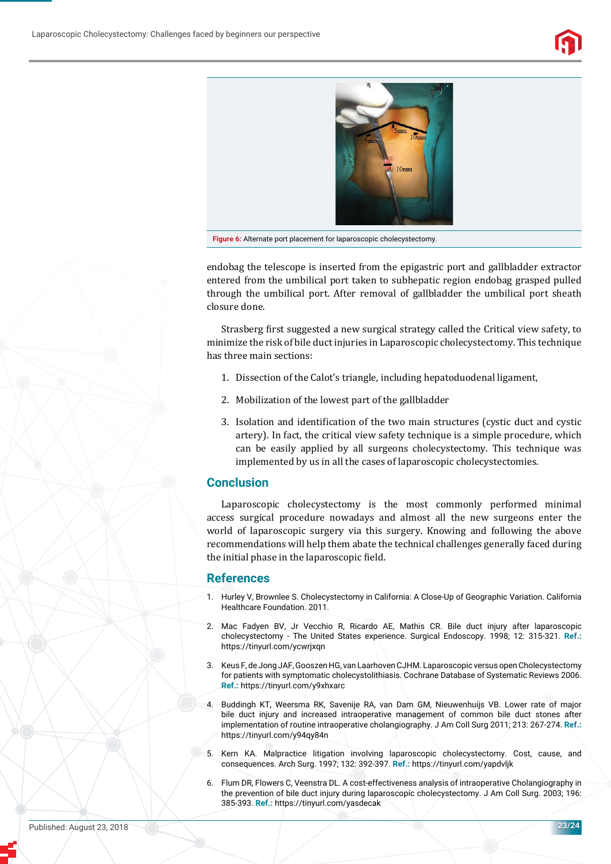



**Figure 6:** Alternate port placement for laparoscopic cholecystectomy.

endobag the telescope is inserted from the epigastric port and gallbladder extractor entered from the umbilical port taken to subhepatic region endobag grasped pulled through the umbilical port. After removal of gallbladder the umbilical port sheath closure done.

Strasberg ϐirst suggested a new surgical strategy called the Critical view safety, to minimize the risk of bile duct injuries in Laparoscopic cholecystectomy. This technique has three main sections:

- 1. Dissection of the Calot's triangle, including hepatoduodenal ligament,
- 2. Mobilization of the lowest part of the gallbladder
- 3. Isolation and identification of the two main structures (cystic duct and cystic artery). In fact, the critical view safety technique is a simple procedure, which can be easily applied by all surgeons cholecystectomy. This technique was implemented by us in all the cases of laparoscopic cholecystectomies.

## **Conclusion**

Laparoscopic cholecystectomy is the most commonly performed minimal access surgical procedure nowadays and almost all the new surgeons enter the world of laparoscopic surgery via this surgery. Knowing and following the above recommendations will help them abate the technical challenges generally faced during the initial phase in the laparoscopic field.

#### **References**

- 1. Hurley V, Brownlee S. Cholecystectomy in California: A Close-Up of Geographic Variation. California Healthcare Foundation. 2011.
- 2. Mac Fadyen BV, Jr Vecchio R, Ricardo AE, Mathis CR. Bile duct injury after laparoscopic cholecystectomy - The United States experience. Surgical Endoscopy. 1998; 12: 315-321. **Ref.:** https://tinyurl.com/ycwrjxqn
- 3. Keus F, de Jong JAF, Gooszen HG, van Laarhoven CJHM. Laparoscopic versus open Cholecystectomy for patients with symptomatic cholecystolithiasis. Cochrane Database of Systematic Reviews 2006. **Ref.:** https://tinyurl.com/y9xhxarc
- 4. Buddingh KT, Weersma RK, Savenije RA, van Dam GM, Nieuwenhuijs VB. Lower rate of major bile duct injury and increased intraoperative management of common bile duct stones after implementation of routine intraoperative cholangiography. J Am Coll Surg 2011; 213: 267-274. **Ref.:** https://tinyurl.com/y94qy84n
- 5. Kern KA. Malpractice litigation involving laparoscopic cholecystectomy. Cost, cause, and consequences. Arch Surg. 1997; 132: 392-397. **Ref.:** https://tinyurl.com/yapdvljk
- 6. Flum DR, Flowers C, Veenstra DL. A cost-effectiveness analysis of intraoperative Cholangiography in the prevention of bile duct injury during laparoscopic cholecystectomy. J Am Coll Surg. 2003; 196: 385-393. **Ref.:** https://tinyurl.com/yasdecak